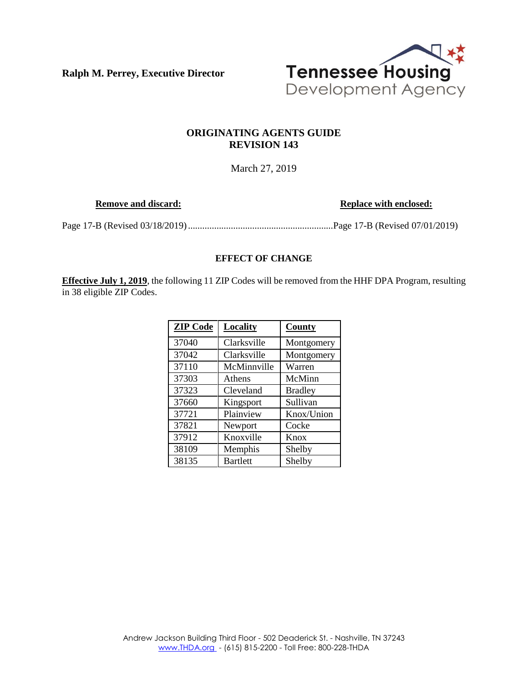**Ralph M. Perrey, Executive Director**



## **ORIGINATING AGENTS GUIDE REVISION 143**

March 27, 2019

**Remove and discard: Replace with enclosed: Replace with enclosed:** 

Page 17-B (Revised 03/18/2019).............................................................Page 17-B (Revised 07/01/2019)

#### **EFFECT OF CHANGE**

**Effective July 1, 2019**, the following 11 ZIP Codes will be removed from the HHF DPA Program, resulting in 38 eligible ZIP Codes.

| <b>ZIP</b> Code | <b>Locality</b> | County         |  |
|-----------------|-----------------|----------------|--|
| 37040           | Clarksville     | Montgomery     |  |
| 37042           | Clarksville     | Montgomery     |  |
| 37110           | McMinnville     | Warren         |  |
| 37303           | Athens          | McMinn         |  |
| 37323           | Cleveland       | <b>Bradley</b> |  |
| 37660           | Kingsport       | Sullivan       |  |
| 37721           | Plainview       | Knox/Union     |  |
| 37821           | Newport         | Cocke          |  |
| 37912           | Knoxville       | $K$ nox        |  |
| 38109           | Memphis         | Shelby         |  |
| 38135           | <b>Bartlett</b> | Shelby         |  |